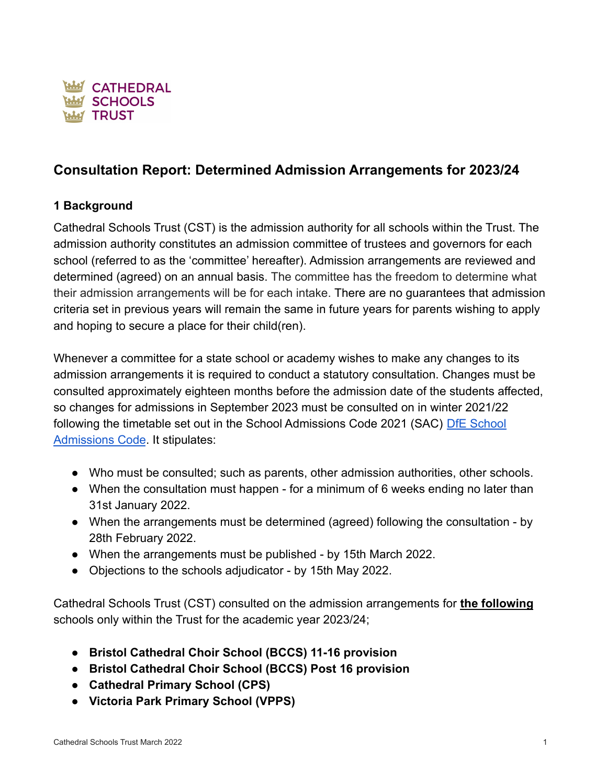

# **Consultation Report: Determined Admission Arrangements for 2023/24**

# **1 Background**

Cathedral Schools Trust (CST) is the admission authority for all schools within the Trust. The admission authority constitutes an admission committee of trustees and governors for each school (referred to as the 'committee' hereafter). Admission arrangements are reviewed and determined (agreed) on an annual basis. The committee has the freedom to determine what their admission arrangements will be for each intake. There are no guarantees that admission criteria set in previous years will remain the same in future years for parents wishing to apply and hoping to secure a place for their child(ren).

Whenever a committee for a state school or academy wishes to make any changes to its admission arrangements it is required to conduct a statutory consultation. Changes must be consulted approximately eighteen months before the admission date of the students affected, so changes for admissions in September 2023 must be consulted on in winter 2021/22 following the timetable set out in the School Admissions Code 2021 (SAC) [DfE School](https://drive.google.com/file/d/1AJfLlmpbqJ-TUYRw_FZhYiYfoLbIlpdp/view?usp=sharing) [Admissions Code](https://drive.google.com/file/d/1AJfLlmpbqJ-TUYRw_FZhYiYfoLbIlpdp/view?usp=sharing). It stipulates:

- Who must be consulted; such as parents, other admission authorities, other schools.
- When the consultation must happen for a minimum of 6 weeks ending no later than 31st January 2022.
- When the arrangements must be determined (agreed) following the consultation by 28th February 2022.
- When the arrangements must be published by 15th March 2022.
- Objections to the schools adjudicator by 15th May 2022.

Cathedral Schools Trust (CST) consulted on the admission arrangements for **the following** schools only within the Trust for the academic year 2023/24;

- **● Bristol Cathedral Choir School (BCCS) 11-16 provision**
- **● Bristol Cathedral Choir School (BCCS) Post 16 provision**
- **● Cathedral Primary School (CPS)**
- **● Victoria Park Primary School (VPPS)**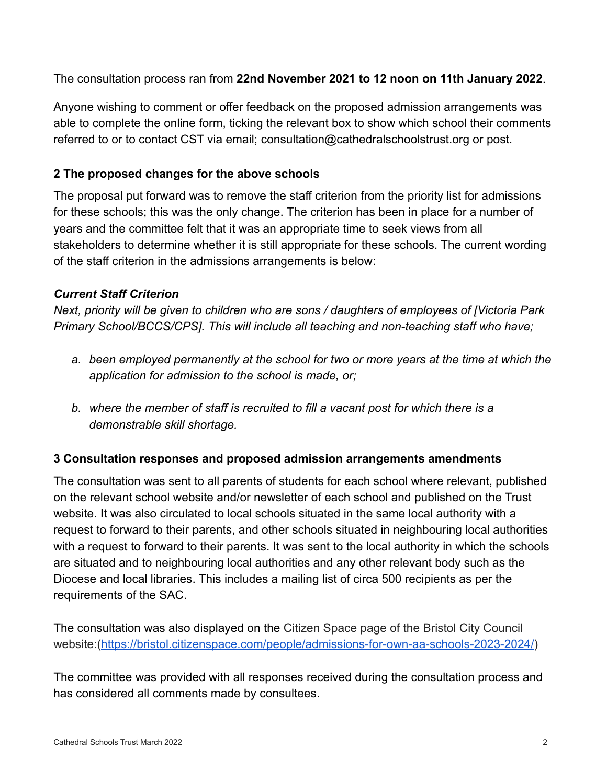The consultation process ran from **22nd November 2021 to 12 noon on 11th January 2022**.

Anyone wishing to comment or offer feedback on the proposed admission arrangements was able to complete the online form, ticking the relevant box to show which school their comments referred to or to contact CST via email; [consultation@cathedralschoolstrust.org](mailto:consultation@cathedralschoolstrust.org) or post.

# **2 The proposed changes for the above schools**

The proposal put forward was to remove the staff criterion from the priority list for admissions for these schools; this was the only change. The criterion has been in place for a number of years and the committee felt that it was an appropriate time to seek views from all stakeholders to determine whether it is still appropriate for these schools. The current wording of the staff criterion in the admissions arrangements is below:

# *Current Staff Criterion*

*Next, priority will be given to children who are sons / daughters of employees of [Victoria Park Primary School/BCCS/CPS]. This will include all teaching and non-teaching staff who have;*

- *a. been employed permanently at the school for two or more years at the time at which the application for admission to the school is made, or;*
- *b. where the member of staff is recruited to fill a vacant post for which there is a demonstrable skill shortage.*

## **3 Consultation responses and proposed admission arrangements amendments**

The consultation was sent to all parents of students for each school where relevant, published on the relevant school website and/or newsletter of each school and published on the Trust website. It was also circulated to local schools situated in the same local authority with a request to forward to their parents, and other schools situated in neighbouring local authorities with a request to forward to their parents. It was sent to the local authority in which the schools are situated and to neighbouring local authorities and any other relevant body such as the Diocese and local libraries. This includes a mailing list of circa 500 recipients as per the requirements of the SAC.

The consultation was also displayed on the Citizen Space page of the Bristol City Council website:([https://bristol.citizenspace.com/people/admissions-for-own-aa-schools-2023-2024/\)](https://bristol.citizenspace.com/people/admissions-for-own-aa-schools-2023-2024/)

The committee was provided with all responses received during the consultation process and has considered all comments made by consultees.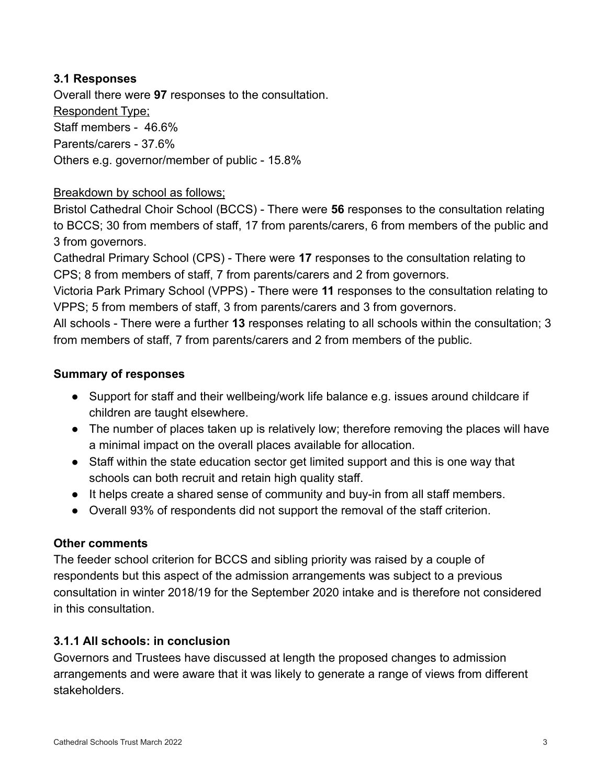## **3.1 Responses**

Overall there were **97** responses to the consultation. Respondent Type; Staff members - 46.6% Parents/carers - 37.6% Others e.g. governor/member of public - 15.8%

## Breakdown by school as follows;

Bristol Cathedral Choir School (BCCS) - There were **56** responses to the consultation relating to BCCS; 30 from members of staff, 17 from parents/carers, 6 from members of the public and 3 from governors.

Cathedral Primary School (CPS) - There were **17** responses to the consultation relating to CPS; 8 from members of staff, 7 from parents/carers and 2 from governors.

Victoria Park Primary School (VPPS) - There were **11** responses to the consultation relating to VPPS; 5 from members of staff, 3 from parents/carers and 3 from governors.

All schools - There were a further **13** responses relating to all schools within the consultation; 3 from members of staff, 7 from parents/carers and 2 from members of the public.

## **Summary of responses**

- Support for staff and their wellbeing/work life balance e.g. issues around childcare if children are taught elsewhere.
- The number of places taken up is relatively low; therefore removing the places will have a minimal impact on the overall places available for allocation.
- Staff within the state education sector get limited support and this is one way that schools can both recruit and retain high quality staff.
- It helps create a shared sense of community and buy-in from all staff members.
- Overall 93% of respondents did not support the removal of the staff criterion.

## **Other comments**

The feeder school criterion for BCCS and sibling priority was raised by a couple of respondents but this aspect of the admission arrangements was subject to a previous consultation in winter 2018/19 for the September 2020 intake and is therefore not considered in this consultation.

## **3.1.1 All schools: in conclusion**

Governors and Trustees have discussed at length the proposed changes to admission arrangements and were aware that it was likely to generate a range of views from different stakeholders.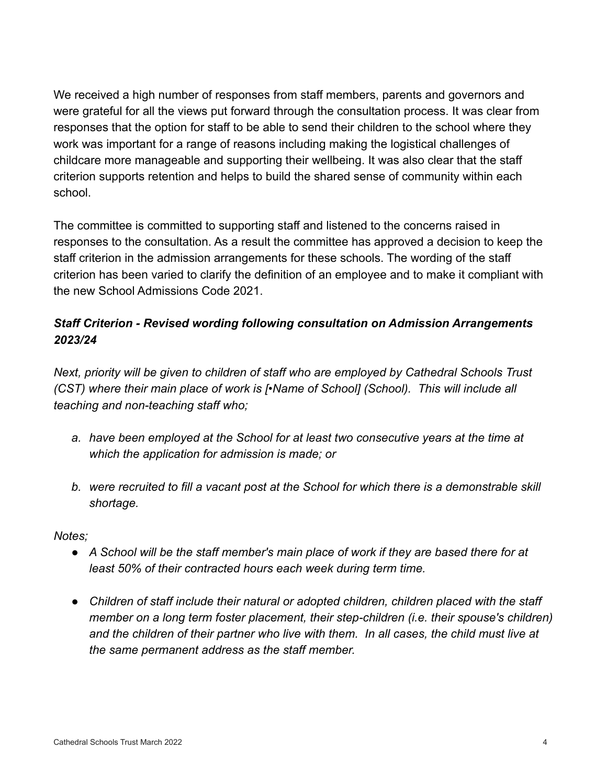We received a high number of responses from staff members, parents and governors and were grateful for all the views put forward through the consultation process. It was clear from responses that the option for staff to be able to send their children to the school where they work was important for a range of reasons including making the logistical challenges of childcare more manageable and supporting their wellbeing. It was also clear that the staff criterion supports retention and helps to build the shared sense of community within each school.

The committee is committed to supporting staff and listened to the concerns raised in responses to the consultation. As a result the committee has approved a decision to keep the staff criterion in the admission arrangements for these schools. The wording of the staff criterion has been varied to clarify the definition of an employee and to make it compliant with the new School Admissions Code 2021.

# *Staff Criterion - Revised wording following consultation on Admission Arrangements 2023/24*

*Next, priority will be given to children of staff who are employed by Cathedral Schools Trust (CST) where their main place of work is [•Name of School] (School). This will include all teaching and non-teaching staff who;*

- *a. have been employed at the School for at least two consecutive years at the time at which the application for admission is made; or*
- *b. were recruited to fill a vacant post at the School for which there is a demonstrable skill shortage.*

## *Notes;*

- *● A School will be the staff member's main place of work if they are based there for at least 50% of their contracted hours each week during term time.*
- *● Children of staff include their natural or adopted children, children placed with the staff member on a long term foster placement, their step-children (i.e. their spouse's children) and the children of their partner who live with them. In all cases, the child must live at the same permanent address as the staff member.*